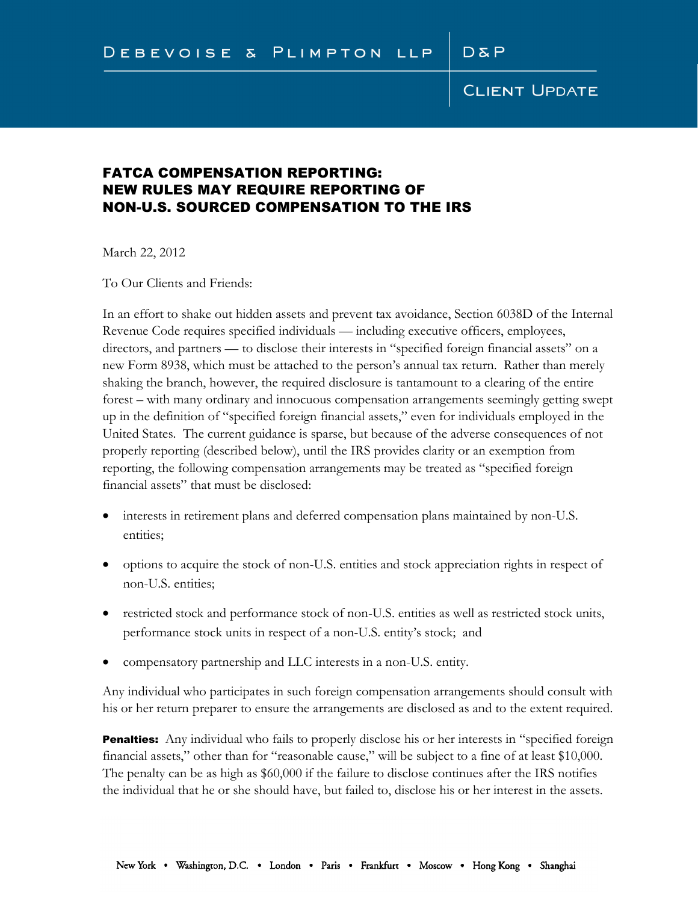### FATCA COMPENSATION REPORTING: NEW RULES MAY REQUIRE REPORTING OF NON-U.S. SOURCED COMPENSATION TO THE IRS

March 22, 2012

To Our Clients and Friends:

In an effort to shake out hidden assets and prevent tax avoidance, Section 6038D of the Internal Revenue Code requires specified individuals — including executive officers, employees, directors, and partners — to disclose their interests in "specified foreign financial assets" on a new Form 8938, which must be attached to the person's annual tax return. Rather than merely shaking the branch, however, the required disclosure is tantamount to a clearing of the entire forest – with many ordinary and innocuous compensation arrangements seemingly getting swept up in the definition of "specified foreign financial assets," even for individuals employed in the United States. The current guidance is sparse, but because of the adverse consequences of not properly reporting (described below), until the IRS provides clarity or an exemption from reporting, the following compensation arrangements may be treated as "specified foreign financial assets" that must be disclosed:

- interests in retirement plans and deferred compensation plans maintained by non-U.S. entities;
- options to acquire the stock of non-U.S. entities and stock appreciation rights in respect of non-U.S. entities;
- restricted stock and performance stock of non-U.S. entities as well as restricted stock units, performance stock units in respect of a non-U.S. entity's stock; and
- compensatory partnership and LLC interests in a non-U.S. entity.

Any individual who participates in such foreign compensation arrangements should consult with his or her return preparer to ensure the arrangements are disclosed as and to the extent required.

Penalties: Any individual who fails to properly disclose his or her interests in "specified foreign financial assets," other than for "reasonable cause," will be subject to a fine of at least \$10,000. The penalty can be as high as \$60,000 if the failure to disclose continues after the IRS notifies the individual that he or she should have, but failed to, disclose his or her interest in the assets.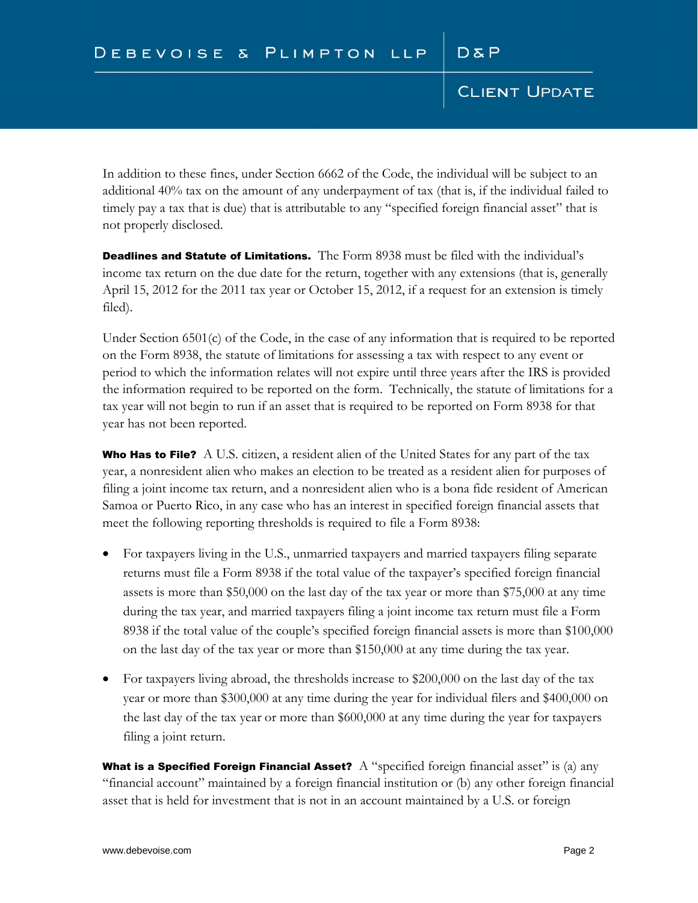In addition to these fines, under Section 6662 of the Code, the individual will be subject to an additional 40% tax on the amount of any underpayment of tax (that is, if the individual failed to timely pay a tax that is due) that is attributable to any "specified foreign financial asset" that is not properly disclosed.

Deadlines and Statute of Limitations. The Form 8938 must be filed with the individual's income tax return on the due date for the return, together with any extensions (that is, generally April 15, 2012 for the 2011 tax year or October 15, 2012, if a request for an extension is timely filed).

Under Section 6501(c) of the Code, in the case of any information that is required to be reported on the Form 8938, the statute of limitations for assessing a tax with respect to any event or period to which the information relates will not expire until three years after the IRS is provided the information required to be reported on the form. Technically, the statute of limitations for a tax year will not begin to run if an asset that is required to be reported on Form 8938 for that year has not been reported.

**Who Has to File?** A U.S. citizen, a resident alien of the United States for any part of the tax year, a nonresident alien who makes an election to be treated as a resident alien for purposes of filing a joint income tax return, and a nonresident alien who is a bona fide resident of American Samoa or Puerto Rico, in any case who has an interest in specified foreign financial assets that meet the following reporting thresholds is required to file a Form 8938:

- For taxpayers living in the U.S., unmarried taxpayers and married taxpayers filing separate returns must file a Form 8938 if the total value of the taxpayer's specified foreign financial assets is more than \$50,000 on the last day of the tax year or more than \$75,000 at any time during the tax year, and married taxpayers filing a joint income tax return must file a Form 8938 if the total value of the couple's specified foreign financial assets is more than \$100,000 on the last day of the tax year or more than \$150,000 at any time during the tax year.
- For taxpayers living abroad, the thresholds increase to \$200,000 on the last day of the tax year or more than \$300,000 at any time during the year for individual filers and \$400,000 on the last day of the tax year or more than \$600,000 at any time during the year for taxpayers filing a joint return.

What is a Specified Foreign Financial Asset? A "specified foreign financial asset" is (a) any "financial account" maintained by a foreign financial institution or (b) any other foreign financial asset that is held for investment that is not in an account maintained by a U.S. or foreign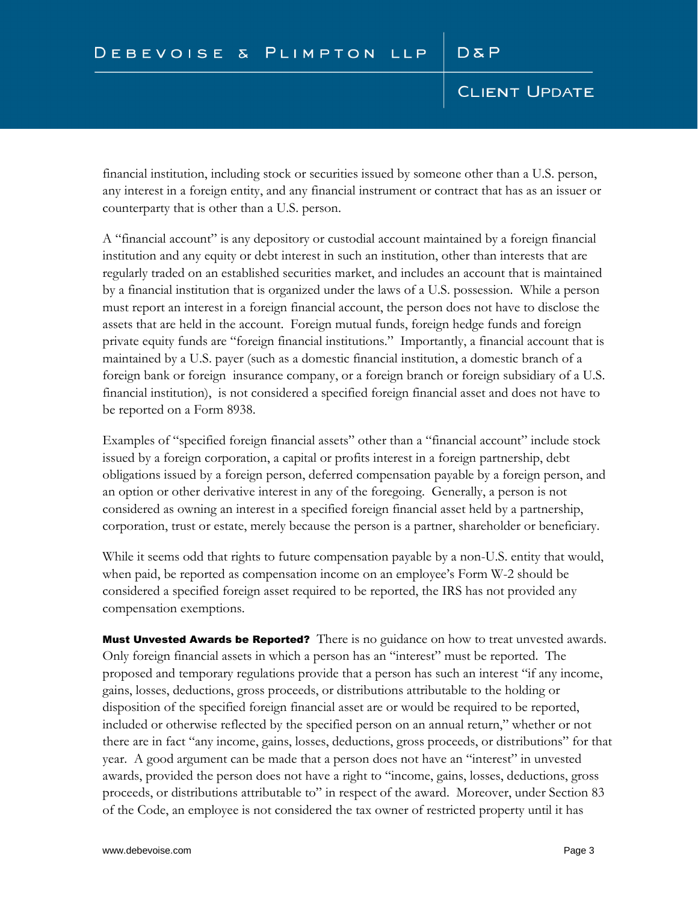financial institution, including stock or securities issued by someone other than a U.S. person, any interest in a foreign entity, and any financial instrument or contract that has as an issuer or counterparty that is other than a U.S. person.

A "financial account" is any depository or custodial account maintained by a foreign financial institution and any equity or debt interest in such an institution, other than interests that are regularly traded on an established securities market, and includes an account that is maintained by a financial institution that is organized under the laws of a U.S. possession. While a person must report an interest in a foreign financial account, the person does not have to disclose the assets that are held in the account. Foreign mutual funds, foreign hedge funds and foreign private equity funds are "foreign financial institutions." Importantly, a financial account that is maintained by a U.S. payer (such as a domestic financial institution, a domestic branch of a foreign bank or foreign insurance company, or a foreign branch or foreign subsidiary of a U.S. financial institution), is not considered a specified foreign financial asset and does not have to be reported on a Form 8938.

Examples of "specified foreign financial assets" other than a "financial account" include stock issued by a foreign corporation, a capital or profits interest in a foreign partnership, debt obligations issued by a foreign person, deferred compensation payable by a foreign person, and an option or other derivative interest in any of the foregoing. Generally, a person is not considered as owning an interest in a specified foreign financial asset held by a partnership, corporation, trust or estate, merely because the person is a partner, shareholder or beneficiary.

While it seems odd that rights to future compensation payable by a non-U.S. entity that would, when paid, be reported as compensation income on an employee's Form W-2 should be considered a specified foreign asset required to be reported, the IRS has not provided any compensation exemptions.

Must Unvested Awards be Reported? There is no guidance on how to treat unvested awards. Only foreign financial assets in which a person has an "interest" must be reported. The proposed and temporary regulations provide that a person has such an interest "if any income, gains, losses, deductions, gross proceeds, or distributions attributable to the holding or disposition of the specified foreign financial asset are or would be required to be reported, included or otherwise reflected by the specified person on an annual return," whether or not there are in fact "any income, gains, losses, deductions, gross proceeds, or distributions" for that year. A good argument can be made that a person does not have an "interest" in unvested awards, provided the person does not have a right to "income, gains, losses, deductions, gross proceeds, or distributions attributable to" in respect of the award. Moreover, under Section 83 of the Code, an employee is not considered the tax owner of restricted property until it has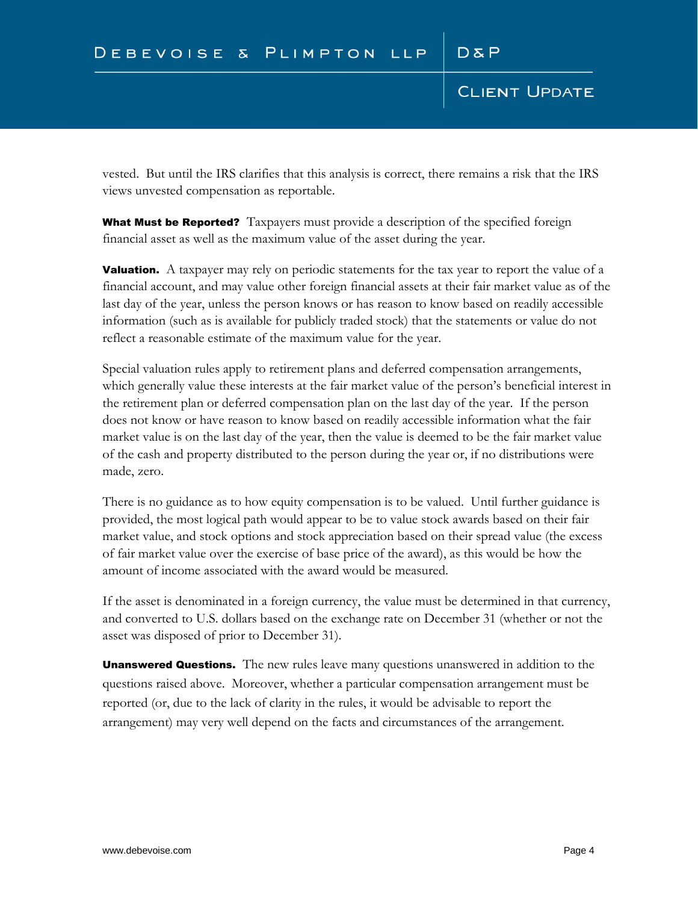vested. But until the IRS clarifies that this analysis is correct, there remains a risk that the IRS views unvested compensation as reportable.

**What Must be Reported?** Taxpayers must provide a description of the specified foreign financial asset as well as the maximum value of the asset during the year.

**Valuation.** A taxpayer may rely on periodic statements for the tax year to report the value of a financial account, and may value other foreign financial assets at their fair market value as of the last day of the year, unless the person knows or has reason to know based on readily accessible information (such as is available for publicly traded stock) that the statements or value do not reflect a reasonable estimate of the maximum value for the year.

Special valuation rules apply to retirement plans and deferred compensation arrangements, which generally value these interests at the fair market value of the person's beneficial interest in the retirement plan or deferred compensation plan on the last day of the year. If the person does not know or have reason to know based on readily accessible information what the fair market value is on the last day of the year, then the value is deemed to be the fair market value of the cash and property distributed to the person during the year or, if no distributions were made, zero.

There is no guidance as to how equity compensation is to be valued. Until further guidance is provided, the most logical path would appear to be to value stock awards based on their fair market value, and stock options and stock appreciation based on their spread value (the excess of fair market value over the exercise of base price of the award), as this would be how the amount of income associated with the award would be measured.

If the asset is denominated in a foreign currency, the value must be determined in that currency, and converted to U.S. dollars based on the exchange rate on December 31 (whether or not the asset was disposed of prior to December 31).

**Unanswered Questions.** The new rules leave many questions unanswered in addition to the questions raised above. Moreover, whether a particular compensation arrangement must be reported (or, due to the lack of clarity in the rules, it would be advisable to report the arrangement) may very well depend on the facts and circumstances of the arrangement.